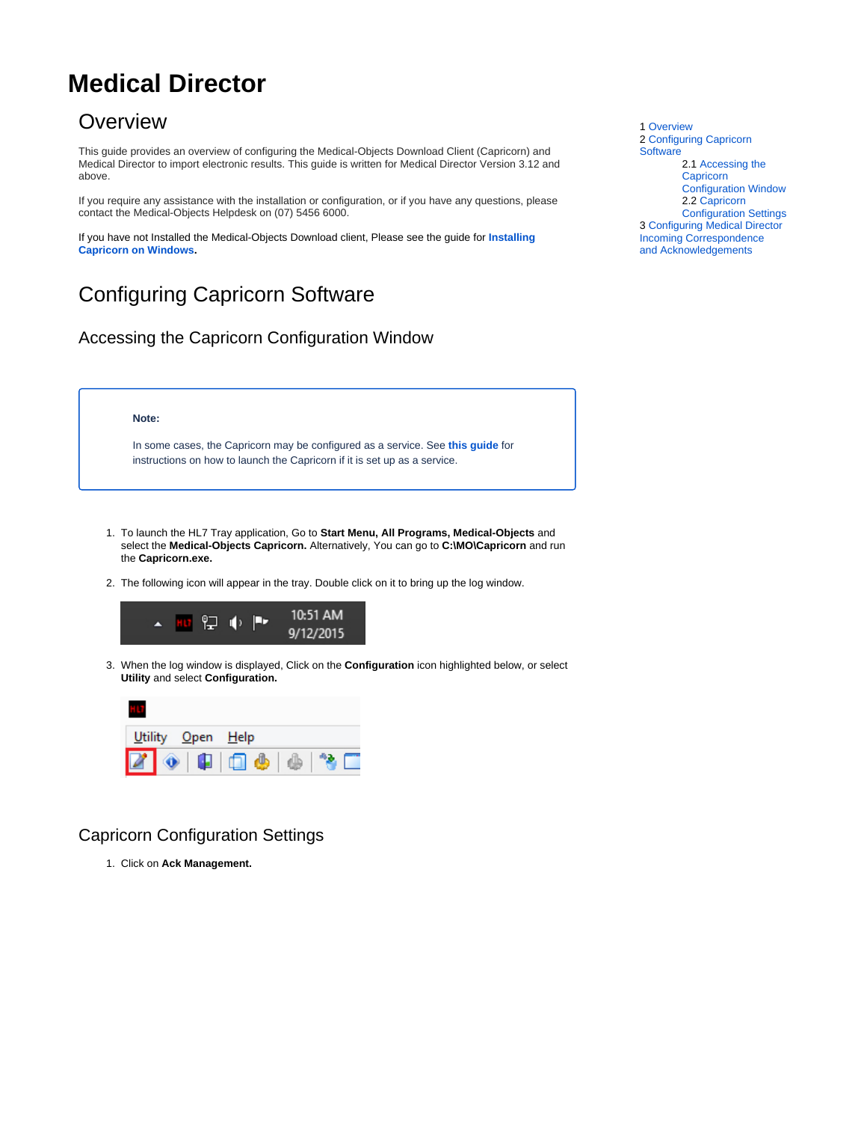# <span id="page-0-0"></span>**Medical Director**

### **Overview**

This guide provides an overview of configuring the Medical-Objects Download Client (Capricorn) and Medical Director to import electronic results. This guide is written for Medical Director Version 3.12 and above.

If you require any assistance with the installation or configuration, or if you have any questions, please contact the Medical-Objects Helpdesk on (07) 5456 6000.

If you have not Installed the Medical-Objects Download client, Please see the guide for **[Installing](https://kb.medical-objects.com.au/display/PUB/Installing+Capricorn+on+Windows)  [Capricorn on Windows](https://kb.medical-objects.com.au/display/PUB/Installing+Capricorn+on+Windows).**

## <span id="page-0-1"></span>Configuring Capricorn Software

<span id="page-0-2"></span>Accessing the Capricorn Configuration Window

#### **Note:**

In some cases, the Capricorn may be configured as a service. See **[this guide](https://kb.medical-objects.com.au/display/PUB/How+to+access+Capricorn+Configuration)** for instructions on how to launch the Capricorn if it is set up as a service.

- 1. To launch the HL7 Tray application, Go to **Start Menu, All Programs, Medical-Objects** and select the **Medical-Objects Capricorn.** Alternatively, You can go to **C:\MO\Capricorn** and run the **Capricorn.exe.**
- 2. The following icon will appear in the tray. Double click on it to bring up the log window.



3. When the log window is displayed, Click on the **Configuration** icon highlighted below, or select **Utility** and select **Configuration.**



### <span id="page-0-3"></span>Capricorn Configuration Settings

1. Click on **Ack Management.**

1 [Overview](#page-0-0) 2 [Configuring Capricorn](#page-0-1)  **[Software](#page-0-1)** 2.1 [Accessing the](#page-0-2)  **Capricorn** [Configuration Window](#page-0-2) 2.2 [Capricorn](#page-0-3)  [Configuration Settings](#page-0-3) 3 [Configuring Medical Director](#page-2-0)  [Incoming Correspondence](#page-2-0)  [and Acknowledgements](#page-2-0)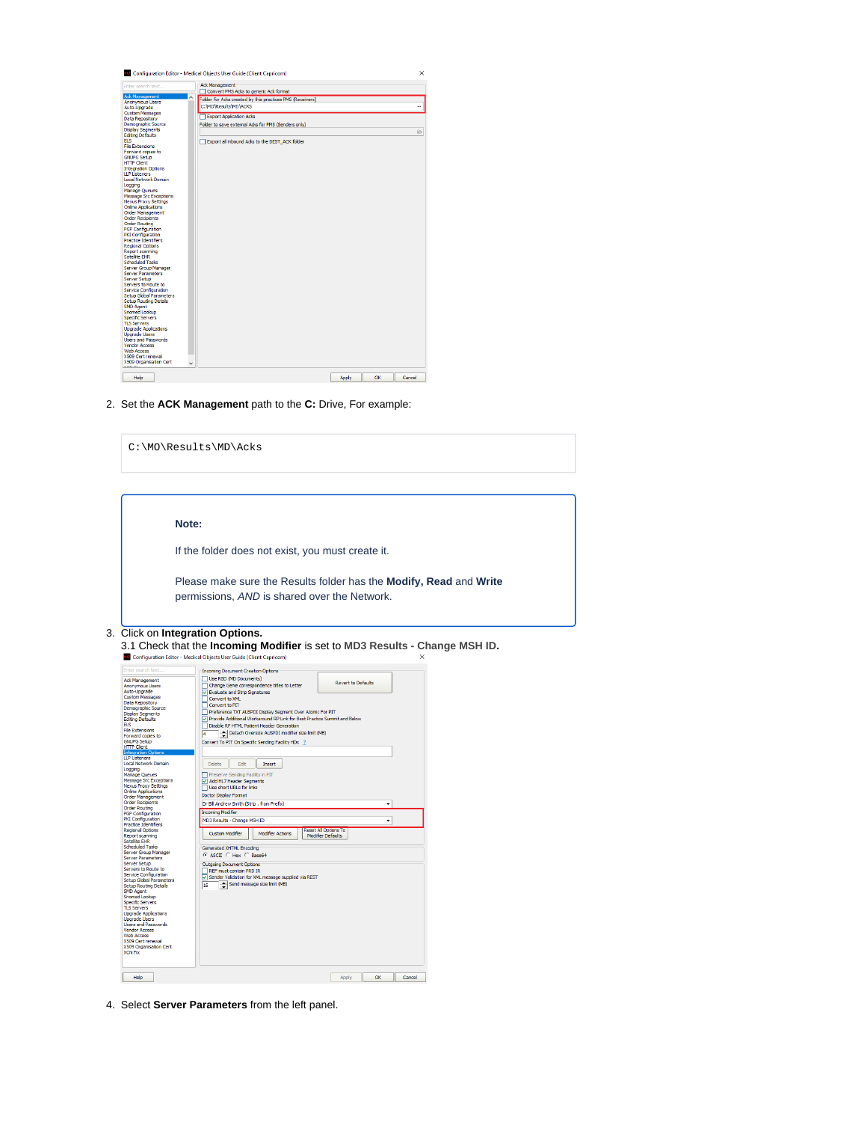

2. Set the **ACK Management** path to the **C:** Drive, For example:

| C:\MO\Results\MD\Acks                                                                                                                                                                                                                                                                                                                                                                                                                                                                                                                                                                                                                                                                                                                                                                                                                                                                                                                                                                                                                                                                                                                                                                                                                    |                                                                                                                                                                                                                                                                                                                                                                                                                                                                                                                                                                                                                                                                                                                                                                                                                                                                                                                                                                                                                                                                                                                                                                                                                                                      |
|------------------------------------------------------------------------------------------------------------------------------------------------------------------------------------------------------------------------------------------------------------------------------------------------------------------------------------------------------------------------------------------------------------------------------------------------------------------------------------------------------------------------------------------------------------------------------------------------------------------------------------------------------------------------------------------------------------------------------------------------------------------------------------------------------------------------------------------------------------------------------------------------------------------------------------------------------------------------------------------------------------------------------------------------------------------------------------------------------------------------------------------------------------------------------------------------------------------------------------------|------------------------------------------------------------------------------------------------------------------------------------------------------------------------------------------------------------------------------------------------------------------------------------------------------------------------------------------------------------------------------------------------------------------------------------------------------------------------------------------------------------------------------------------------------------------------------------------------------------------------------------------------------------------------------------------------------------------------------------------------------------------------------------------------------------------------------------------------------------------------------------------------------------------------------------------------------------------------------------------------------------------------------------------------------------------------------------------------------------------------------------------------------------------------------------------------------------------------------------------------------|
| Note:                                                                                                                                                                                                                                                                                                                                                                                                                                                                                                                                                                                                                                                                                                                                                                                                                                                                                                                                                                                                                                                                                                                                                                                                                                    | If the folder does not exist, you must create it.                                                                                                                                                                                                                                                                                                                                                                                                                                                                                                                                                                                                                                                                                                                                                                                                                                                                                                                                                                                                                                                                                                                                                                                                    |
| Click on Integration Options.                                                                                                                                                                                                                                                                                                                                                                                                                                                                                                                                                                                                                                                                                                                                                                                                                                                                                                                                                                                                                                                                                                                                                                                                            | Please make sure the Results folder has the Modify, Read and Write<br>permissions, AND is shared over the Network.<br>3.1 Check that the Incoming Modifier is set to MD3 Results - Change MSH ID.                                                                                                                                                                                                                                                                                                                                                                                                                                                                                                                                                                                                                                                                                                                                                                                                                                                                                                                                                                                                                                                    |
| Enter search text.<br><b>Ack Management</b><br>Anonymous Users<br>Auto-Upgrade<br><b>Custom Messages</b><br>Data Repository<br>Demographic Source<br><b>Display Segments</b><br><b>Editing Defaults</b><br><b>ELS</b><br><b>File Extensions</b><br>Forward copies to<br><b>GNUPG Setup</b><br><b>HTTP Client</b><br>ntegration C<br><b>LLP Listeners</b><br>Local Network Domain<br>Logging<br>Manage Queues<br>Message Src Exceptions<br><b>Nexus Proxy Settings</b><br><b>Online Applications</b><br><b>Order Management</b><br><b>Order Recipients</b><br><b>Order Routing</b><br>PGP Configuration<br><b>PKI Configuration</b><br><b>Practice Identifiers</b><br><b>Regional Options</b><br>Report scanning<br>Satelite EHR<br><b>Scheduled Tasks</b><br>Server Group Manager<br><b>Server Parameters</b><br>Server Setup<br>Servers to Route to<br>Service Configuration<br>Setup Global Parameters<br><b>Setup Routing Details</b><br><b>SMD Agent</b><br><b>Snomed Lookup</b><br><b>Specific Servers</b><br><b>TLS Servers</b><br><b>Upgrade Applications</b><br><b>Upgrade Users</b><br><b>Users and Passwords</b><br><b>Vendor Access</b><br><b>Web Access</b><br>X509 Cert renewal<br>X509 Organisation Cert<br><b>XCN Fix</b> | <b>ILD</b> Configuration Editor - Medical Objects User Guide (Client Capricorn)<br>×<br><b>Incoming Document Creation Options</b><br>Use RSD (MD Documents)<br><b>Revert to Defaults</b><br>Change Genie correspondence titles to Letter<br>$\boxed{\checkmark}$ Evaluate and Strip Signatures<br>Convert to XML<br>Convert to PIT<br>Preference TXT AUSPDI Display Segment Over Atomic For PIT<br>V Provide Additional Workaround RP Link for Best Practice Summit and Below<br>Disable RP HTML Patient Header Generation<br>Detach Oversize AUSPDI modifier size limit (MB)<br>4<br>Convert To PIT On Specific Sending Facility HDs ?<br><b>Delete</b><br>Edit<br>Insert<br>Preserve Sending Facility in PIT<br>Add HL7 Header Segments<br>Use short URLs for links<br>Doctor Display Format<br>Dr Bill Andrew Smith (Strip, from Prefix)<br>٠<br><b>Incoming Modifier</b><br>MD3 Results - Change MSH ID<br>٠<br><b>Reset All Options To</b><br><b>Custom Modifier</b><br><b>Modifier Actions</b><br><b>Modifier Defaults</b><br>Generated XHTML Encoding<br>C ASCII C Hex C Base64<br><b>Outgoing Document Options</b><br>REF must contain PRD IR<br>O Sender Validation for XML message supplied via REST<br>Send message size limit (MB)<br>16 |

Apply OK Cancel

4. Select **Server Parameters** from the left panel.

 $Heb$ 

3.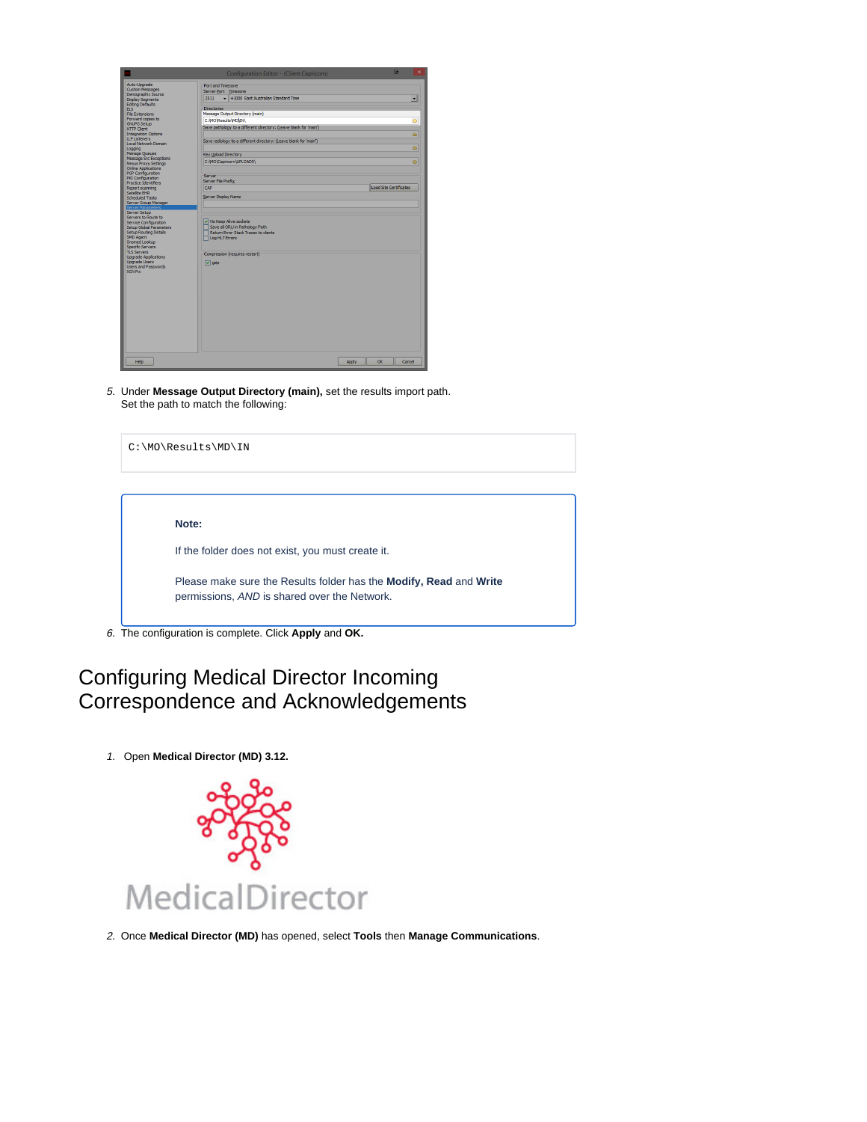|                                                                                                                                                                                                                                                                                                                                                                                        | Configuration Editor - (Client Capricorn)                                                                                                                          |                        | 品      |
|----------------------------------------------------------------------------------------------------------------------------------------------------------------------------------------------------------------------------------------------------------------------------------------------------------------------------------------------------------------------------------------|--------------------------------------------------------------------------------------------------------------------------------------------------------------------|------------------------|--------|
| Auto-Upgrade<br><b>Custom Messages</b><br>Demographic Source<br><b>Display Segments</b>                                                                                                                                                                                                                                                                                                | Port and Timezone<br>Server Port Timezone<br>+ +1000 East Australian Standard Time<br>2511                                                                         |                        | ۰      |
| <b>Editing Defaults</b><br><b>FIS</b>                                                                                                                                                                                                                                                                                                                                                  | <b>Directories</b>                                                                                                                                                 |                        |        |
| <b>File Extensions</b>                                                                                                                                                                                                                                                                                                                                                                 | Message Output Directory (main)                                                                                                                                    |                        |        |
| Forward cooles to                                                                                                                                                                                                                                                                                                                                                                      | C: WO'Results WD (IN)                                                                                                                                              |                        | ö      |
| <b>GNUPG Setup</b><br><b>HTTP Clent</b>                                                                                                                                                                                                                                                                                                                                                | Save pathology to a different directory: (Leave blank for 'main')                                                                                                  |                        |        |
| <b>Integration Options</b>                                                                                                                                                                                                                                                                                                                                                             |                                                                                                                                                                    |                        | ö      |
| <b>LLP Listeners</b>                                                                                                                                                                                                                                                                                                                                                                   | Save radiology to a different directory: (Leave blank for 'main')                                                                                                  |                        |        |
| Local Network Domain<br>Logging                                                                                                                                                                                                                                                                                                                                                        |                                                                                                                                                                    |                        | õ      |
| Manage Queues                                                                                                                                                                                                                                                                                                                                                                          | Key Upload Directory                                                                                                                                               |                        |        |
| Message Src Exceptions                                                                                                                                                                                                                                                                                                                                                                 | C: WO\Capricorn\UPLOADS\                                                                                                                                           |                        | ø.     |
| <b>Nexus Proxy Settings</b><br><b>Online Applications</b>                                                                                                                                                                                                                                                                                                                              |                                                                                                                                                                    |                        |        |
| PGP Configuration                                                                                                                                                                                                                                                                                                                                                                      |                                                                                                                                                                    |                        |        |
| PKI Configuration                                                                                                                                                                                                                                                                                                                                                                      | Server<br>Server File Prefix                                                                                                                                       |                        |        |
| Practice Identifiers<br>Report scanning                                                                                                                                                                                                                                                                                                                                                | CAP                                                                                                                                                                | Load Site Certificates |        |
|                                                                                                                                                                                                                                                                                                                                                                                        |                                                                                                                                                                    |                        |        |
|                                                                                                                                                                                                                                                                                                                                                                                        | Server Display Name                                                                                                                                                |                        |        |
|                                                                                                                                                                                                                                                                                                                                                                                        |                                                                                                                                                                    |                        |        |
| Satellite EHR<br><b>Scheduled Tasks</b><br>Server Group Manager<br>lerver Parameter<br>Server Setup<br>Servers to Route to<br>Service Configuration<br>Setup Global Parameters<br>Setup Routing Details<br>SMD Agent<br>Snomed Lookup<br>Specific Servers<br><b>TLS Servers</b><br><b>Upgrade Applications</b><br><b>Upgrade Users</b><br><b>Users and Passwords</b><br><b>XCN Fix</b> | V No Keep Alive sockets<br>Save all ORU in Pathology Path<br>Return Frror Stack Traces to dients<br>Log HL7 Errors<br>Compression (requires restart)<br>$ v $ gzip |                        |        |
| Help                                                                                                                                                                                                                                                                                                                                                                                   | Apply                                                                                                                                                              | $\alpha$               | Cancel |

5. Under **Message Output Directory (main),** set the results import path. Set the path to match the following:

| C:\MO\Results\MD\IN                                                |
|--------------------------------------------------------------------|
|                                                                    |
| Note:                                                              |
| If the folder does not exist, you must create it.                  |
| Please make sure the Results folder has the Modify, Read and Write |
| permissions, AND is shared over the Network.                       |

## <span id="page-2-0"></span>Configuring Medical Director Incoming Correspondence and Acknowledgements

1. Open **Medical Director (MD) 3.12.**



2. Once **Medical Director (MD)** has opened, select **Tools** then **Manage Communications**.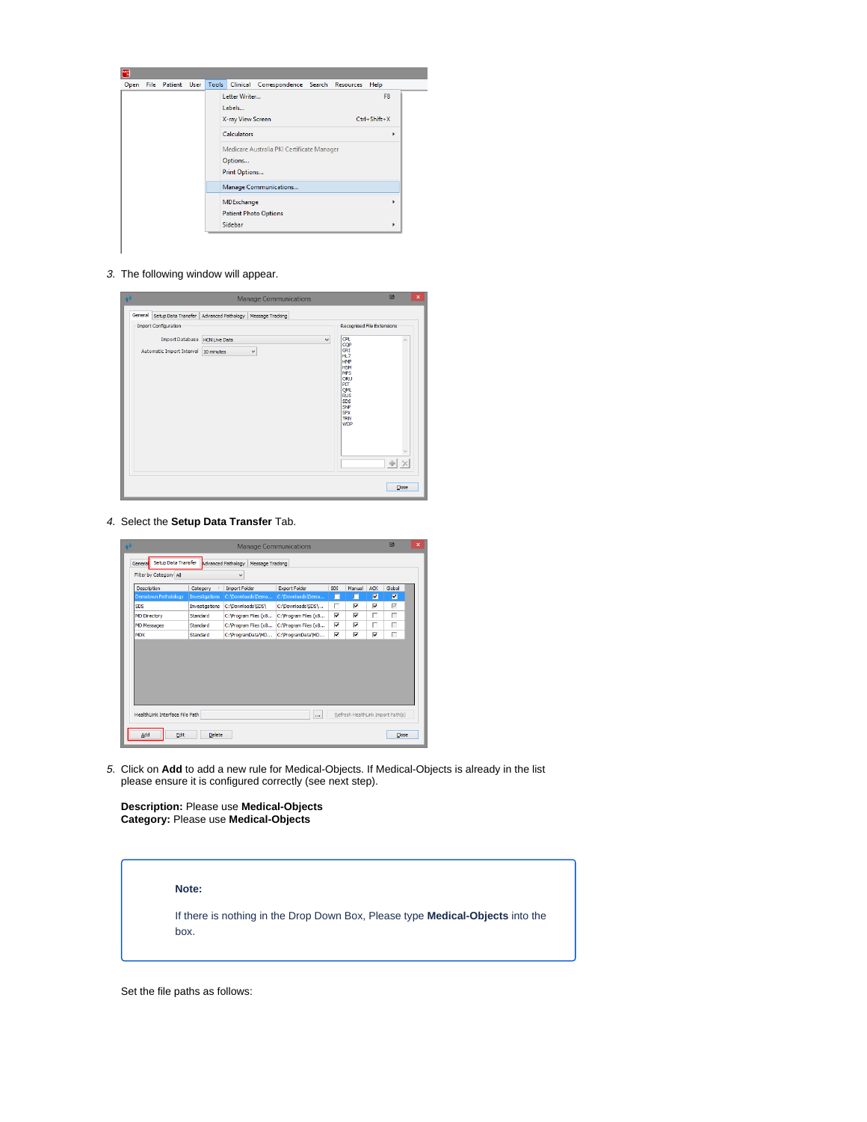

3. The following window will appear.



4. Select the **Setup Data Transfer** Tab.

|                                |                | <b>Manage Communications</b>           |                       |            |        |            | 匝                                 |  |
|--------------------------------|----------------|----------------------------------------|-----------------------|------------|--------|------------|-----------------------------------|--|
| Setup Data Transfer<br>General |                | Advanced Pathology<br>Message Tracking |                       |            |        |            |                                   |  |
| Filter by Category All         |                | $\checkmark$                           |                       |            |        |            |                                   |  |
| Description                    | Category       | <b>Import Folder</b>                   | <b>Export Folder</b>  | <b>SDI</b> | Manual | <b>ACK</b> | Global                            |  |
| <b>Demotown Patholology</b>    | Investigations | C:\Downloads\Demo                      | C:\Downloads\Demo     | ш          | п      | ◪          | 図                                 |  |
| <b>SDS</b>                     | Investigations | C:\Downloads\SDS\                      | C:\Downloads\SDS\     | г          | ⊽      | ⊽          | $\overline{\vee}$                 |  |
| <b>MD Directory</b>            | Standard       | C:\Program Files (x8                   | C: \Program Files (x8 | ⊽          | ⊽      | г          | г                                 |  |
| <b>MD Messages</b>             | Standard       | C: Program Files (x8                   | C: Program Files (x8  | ⊽          | ⊽      | г          | г                                 |  |
| <b>MDX</b>                     | Standard       | C:\ProgramData\MD                      | C:\ProgramData\MD     | ⊽          | ⊽      | ⊽          | г                                 |  |
| HealthLink Interface File Path |                |                                        |                       |            |        |            | Refresh HealthLink Import Path(s) |  |
| Add<br>Edit                    | <b>Delete</b>  |                                        | m.                    |            |        |            | Close                             |  |
|                                |                |                                        |                       |            |        |            |                                   |  |

5. Click on **Add** to add a new rule for Medical-Objects. If Medical-Objects is already in the list please ensure it is configured correctly (see next step).

**Description:** Please use **Medical-Objects Category:** Please use **Medical-Objects**

**Note:**

If there is nothing in the Drop Down Box, Please type **Medical-Objects** into the box.

Set the file paths as follows: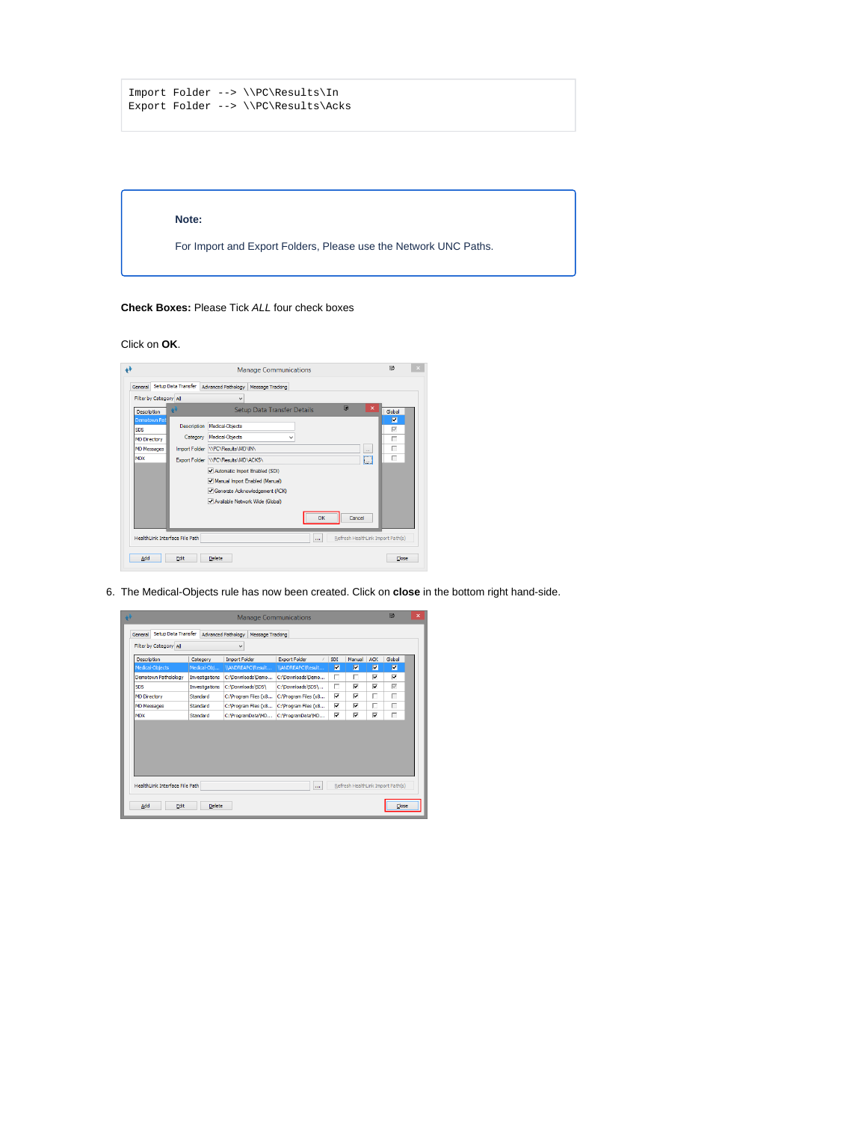```
Import Folder --> \\PC\Results\In
Export Folder --> \\PC\Results\Acks
```
### **Note:**

For Import and Export Folders, Please use the Network UNC Paths.

**Check Boxes:** Please Tick ALL four check boxes

Click on **OK**.



6. The Medical-Objects rule has now been created. Click on **close** in the bottom right hand-side.

|                                                          |                | <b>Manage Communications</b>                       |                       |            |        |            | 匝                                 | $\mathbf x$ |
|----------------------------------------------------------|----------------|----------------------------------------------------|-----------------------|------------|--------|------------|-----------------------------------|-------------|
| Setup Data Transfer<br>General<br>Filter by Category All |                | <b>Advanced Pathology</b><br>Message Tracking<br>٧ |                       |            |        |            |                                   |             |
| Description                                              | Category       | <b>Import Folder</b>                               | <b>Export Folder</b>  | <b>SDI</b> | Manual | <b>ACK</b> | Global                            |             |
| Medical-Objects                                          | Medical-Obj    | \\ANDREAPC\Result                                  | VANDREAPCVResult      | ⊽          | 回      | 図          | 図                                 |             |
| Demotown Patholology                                     | Investigations | C:\Downloads\Demo                                  | C:\Downloads\Demo     | г          | г      | ⊽          | ⊽                                 |             |
| <b>SDS</b>                                               | Investigations | C:\Downloads\SDS\                                  | C:\Downloads\SDS\     | г          | ⊽      | ⊽          | $\overline{\vee}$                 |             |
| <b>MD Directory</b>                                      | Standard       | C: Program Files (x8                               | C: \Program Files (x8 | ⊽          | ⊽      | г          | г                                 |             |
| <b>MD Messages</b>                                       | Standard       | C: \Program Files (x8                              | C: \Program Files (x8 | ⊽          | ⊽      | г          | г                                 |             |
| <b>MDX</b>                                               | Standard       | C:\ProgramData\MD                                  | C:\ProgramData\MD     | ⊽          | ⊽      | ⊽          | г                                 |             |
|                                                          |                |                                                    |                       |            |        |            |                                   |             |
| HealthLink Interface File Path                           |                |                                                    |                       |            |        |            | Refresh HealthLink Import Path(s) |             |